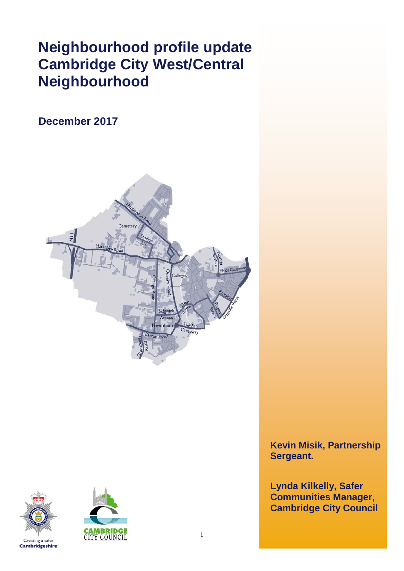# **Neighbourhood profile update Cambridge City West/Central Neighbourhood**

# **December 2017**







**Kevin Misik, Partnership Sergeant.**

**Lynda Kilkelly, Safer Communities Manager, Cambridge City Council**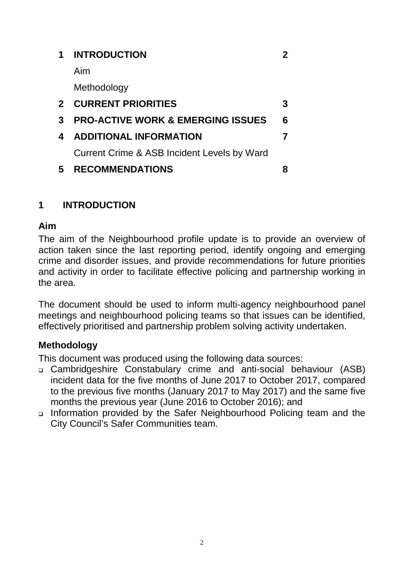| 1              | <b>INTRODUCTION</b>                          |   |
|----------------|----------------------------------------------|---|
|                | Aim                                          |   |
|                | Methodology                                  |   |
| 2 <sup>1</sup> | <b>CURRENT PRIORITIES</b>                    | 3 |
| 3              | <b>PRO-ACTIVE WORK &amp; EMERGING ISSUES</b> | 6 |
| 4              | <b>ADDITIONAL INFORMATION</b>                |   |
|                | Current Crime & ASB Incident Levels by Ward  |   |
| 5              | <b>RECOMMENDATIONS</b>                       |   |

# **1 INTRODUCTION**

# **Aim**

The aim of the Neighbourhood profile update is to provide an overview of action taken since the last reporting period, identify ongoing and emerging crime and disorder issues, and provide recommendations for future priorities and activity in order to facilitate effective policing and partnership working in the area.

The document should be used to inform multi-agency neighbourhood panel meetings and neighbourhood policing teams so that issues can be identified, effectively prioritised and partnership problem solving activity undertaken.

# **Methodology**

This document was produced using the following data sources:

- Cambridgeshire Constabulary crime and anti-social behaviour (ASB) incident data for the five months of June 2017 to October 2017, compared to the previous five months (January 2017 to May 2017) and the same five months the previous year (June 2016 to October 2016); and
- Information provided by the Safer Neighbourhood Policing team and the City Council's Safer Communities team.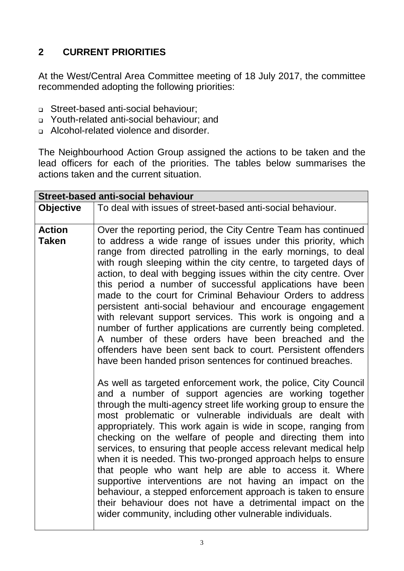# **2 CURRENT PRIORITIES**

At the West/Central Area Committee meeting of 18 July 2017, the committee recommended adopting the following priorities:

- Street-based anti-social behaviour;
- Youth-related anti-social behaviour; and
- Alcohol-related violence and disorder.

The Neighbourhood Action Group assigned the actions to be taken and the lead officers for each of the priorities. The tables below summarises the actions taken and the current situation.

| <b>Street-based anti-social behaviour</b> |                                                                                                                                                                                                                                                                                                                                                                                                                                                                                                                                                                                                                                                                                                                                                                                                                                                  |  |  |  |  |  |  |  |  |
|-------------------------------------------|--------------------------------------------------------------------------------------------------------------------------------------------------------------------------------------------------------------------------------------------------------------------------------------------------------------------------------------------------------------------------------------------------------------------------------------------------------------------------------------------------------------------------------------------------------------------------------------------------------------------------------------------------------------------------------------------------------------------------------------------------------------------------------------------------------------------------------------------------|--|--|--|--|--|--|--|--|
| <b>Objective</b>                          | To deal with issues of street-based anti-social behaviour.                                                                                                                                                                                                                                                                                                                                                                                                                                                                                                                                                                                                                                                                                                                                                                                       |  |  |  |  |  |  |  |  |
| <b>Action</b><br><b>Taken</b>             | Over the reporting period, the City Centre Team has continued<br>to address a wide range of issues under this priority, which<br>range from directed patrolling in the early mornings, to deal<br>with rough sleeping within the city centre, to targeted days of<br>action, to deal with begging issues within the city centre. Over<br>this period a number of successful applications have been<br>made to the court for Criminal Behaviour Orders to address<br>persistent anti-social behaviour and encourage engagement<br>with relevant support services. This work is ongoing and a<br>number of further applications are currently being completed.<br>A number of these orders have been breached and the<br>offenders have been sent back to court. Persistent offenders<br>have been handed prison sentences for continued breaches. |  |  |  |  |  |  |  |  |
|                                           | As well as targeted enforcement work, the police, City Council<br>and a number of support agencies are working together<br>through the multi-agency street life working group to ensure the<br>most problematic or vulnerable individuals are dealt with<br>appropriately. This work again is wide in scope, ranging from<br>checking on the welfare of people and directing them into<br>services, to ensuring that people access relevant medical help<br>when it is needed. This two-pronged approach helps to ensure<br>that people who want help are able to access it. Where<br>supportive interventions are not having an impact on the<br>behaviour, a stepped enforcement approach is taken to ensure<br>their behaviour does not have a detrimental impact on the<br>wider community, including other vulnerable individuals.          |  |  |  |  |  |  |  |  |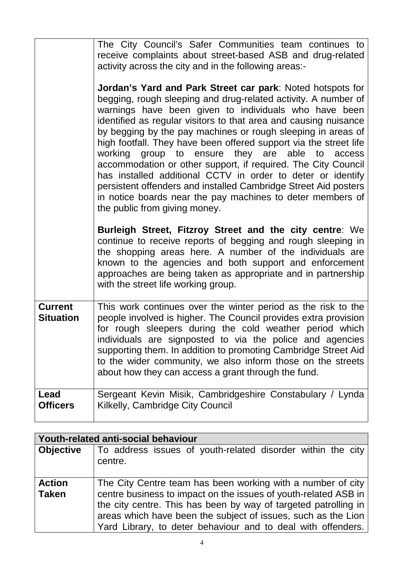|                                    | The City Council's Safer Communities team continues to<br>receive complaints about street-based ASB and drug-related<br>activity across the city and in the following areas:-<br><b>Jordan's Yard and Park Street car park: Noted hotspots for</b><br>begging, rough sleeping and drug-related activity. A number of<br>warnings have been given to individuals who have been<br>identified as regular visitors to that area and causing nuisance<br>by begging by the pay machines or rough sleeping in areas of<br>high footfall. They have been offered support via the street life<br>working group to ensure they are able to access<br>accommodation or other support, if required. The City Council<br>has installed additional CCTV in order to deter or identify<br>persistent offenders and installed Cambridge Street Aid posters<br>in notice boards near the pay machines to deter members of<br>the public from giving money.<br>Burleigh Street, Fitzroy Street and the city centre: We |  |  |  |  |  |
|------------------------------------|--------------------------------------------------------------------------------------------------------------------------------------------------------------------------------------------------------------------------------------------------------------------------------------------------------------------------------------------------------------------------------------------------------------------------------------------------------------------------------------------------------------------------------------------------------------------------------------------------------------------------------------------------------------------------------------------------------------------------------------------------------------------------------------------------------------------------------------------------------------------------------------------------------------------------------------------------------------------------------------------------------|--|--|--|--|--|
|                                    | continue to receive reports of begging and rough sleeping in<br>the shopping areas here. A number of the individuals are<br>known to the agencies and both support and enforcement<br>approaches are being taken as appropriate and in partnership<br>with the street life working group.                                                                                                                                                                                                                                                                                                                                                                                                                                                                                                                                                                                                                                                                                                              |  |  |  |  |  |
| <b>Current</b><br><b>Situation</b> | This work continues over the winter period as the risk to the<br>people involved is higher. The Council provides extra provision<br>for rough sleepers during the cold weather period which<br>individuals are signposted to via the police and agencies<br>supporting them. In addition to promoting Cambridge Street Aid<br>to the wider community, we also inform those on the streets<br>about how they can access a grant through the fund.                                                                                                                                                                                                                                                                                                                                                                                                                                                                                                                                                       |  |  |  |  |  |
| Lead<br><b>Officers</b>            | Sergeant Kevin Misik, Cambridgeshire Constabulary / Lynda<br>Kilkelly, Cambridge City Council                                                                                                                                                                                                                                                                                                                                                                                                                                                                                                                                                                                                                                                                                                                                                                                                                                                                                                          |  |  |  |  |  |

| Youth-related anti-social behaviour |                                                                                                                                                                                                                                                                                                                                    |  |  |  |  |  |  |  |  |
|-------------------------------------|------------------------------------------------------------------------------------------------------------------------------------------------------------------------------------------------------------------------------------------------------------------------------------------------------------------------------------|--|--|--|--|--|--|--|--|
| <b>Objective</b>                    | To address issues of youth-related disorder within the city<br>centre.                                                                                                                                                                                                                                                             |  |  |  |  |  |  |  |  |
| <b>Action</b><br><b>Taken</b>       | The City Centre team has been working with a number of city<br>centre business to impact on the issues of youth-related ASB in<br>the city centre. This has been by way of targeted patrolling in<br>areas which have been the subject of issues, such as the Lion<br>Yard Library, to deter behaviour and to deal with offenders. |  |  |  |  |  |  |  |  |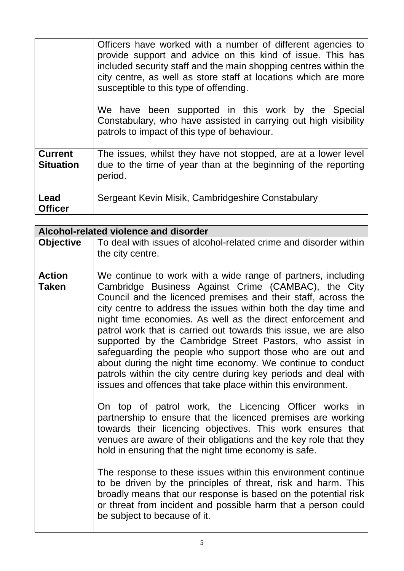|                                    | Officers have worked with a number of different agencies to<br>provide support and advice on this kind of issue. This has<br>included security staff and the main shopping centres within the<br>city centre, as well as store staff at locations which are more<br>susceptible to this type of offending.<br>We have been supported in this work by the Special<br>Constabulary, who have assisted in carrying out high visibility<br>patrols to impact of this type of behaviour. |
|------------------------------------|-------------------------------------------------------------------------------------------------------------------------------------------------------------------------------------------------------------------------------------------------------------------------------------------------------------------------------------------------------------------------------------------------------------------------------------------------------------------------------------|
| <b>Current</b><br><b>Situation</b> | The issues, whilst they have not stopped, are at a lower level<br>due to the time of year than at the beginning of the reporting<br>period.                                                                                                                                                                                                                                                                                                                                         |
| Lead<br><b>Officer</b>             | Sergeant Kevin Misik, Cambridgeshire Constabulary                                                                                                                                                                                                                                                                                                                                                                                                                                   |

| Alcohol-related violence and disorder |                                                                                                                                                                                                                                                                                                                                                                                                                                                                                                                                                                                                                                                                                                                                                                                                                                                                                                                                                                                                                                                                                                                                                                           |  |  |  |  |  |  |
|---------------------------------------|---------------------------------------------------------------------------------------------------------------------------------------------------------------------------------------------------------------------------------------------------------------------------------------------------------------------------------------------------------------------------------------------------------------------------------------------------------------------------------------------------------------------------------------------------------------------------------------------------------------------------------------------------------------------------------------------------------------------------------------------------------------------------------------------------------------------------------------------------------------------------------------------------------------------------------------------------------------------------------------------------------------------------------------------------------------------------------------------------------------------------------------------------------------------------|--|--|--|--|--|--|
| <b>Objective</b>                      | To deal with issues of alcohol-related crime and disorder within                                                                                                                                                                                                                                                                                                                                                                                                                                                                                                                                                                                                                                                                                                                                                                                                                                                                                                                                                                                                                                                                                                          |  |  |  |  |  |  |
|                                       | the city centre.                                                                                                                                                                                                                                                                                                                                                                                                                                                                                                                                                                                                                                                                                                                                                                                                                                                                                                                                                                                                                                                                                                                                                          |  |  |  |  |  |  |
| <b>Action</b><br>Taken                | We continue to work with a wide range of partners, including<br>Cambridge Business Against Crime (CAMBAC), the City<br>Council and the licenced premises and their staff, across the<br>city centre to address the issues within both the day time and<br>night time economies. As well as the direct enforcement and<br>patrol work that is carried out towards this issue, we are also<br>supported by the Cambridge Street Pastors, who assist in<br>safeguarding the people who support those who are out and<br>about during the night time economy. We continue to conduct<br>patrols within the city centre during key periods and deal with<br>issues and offences that take place within this environment.<br>On top of patrol work, the Licencing Officer works in<br>partnership to ensure that the licenced premises are working<br>towards their licencing objectives. This work ensures that<br>venues are aware of their obligations and the key role that they<br>hold in ensuring that the night time economy is safe.<br>The response to these issues within this environment continue<br>to be driven by the principles of threat, risk and harm. This |  |  |  |  |  |  |
|                                       | broadly means that our response is based on the potential risk<br>or threat from incident and possible harm that a person could<br>be subject to because of it.                                                                                                                                                                                                                                                                                                                                                                                                                                                                                                                                                                                                                                                                                                                                                                                                                                                                                                                                                                                                           |  |  |  |  |  |  |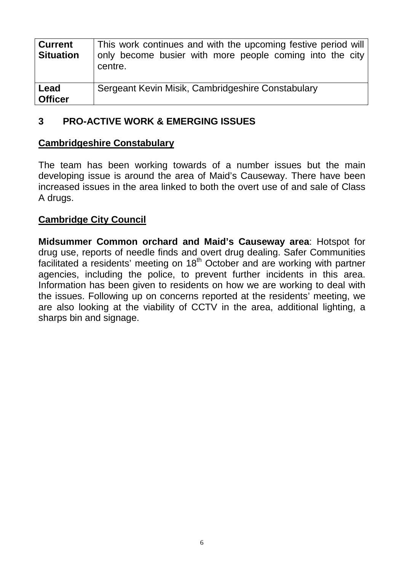| <b>Current</b><br><b>Situation</b> | This work continues and with the upcoming festive period will<br>only become busier with more people coming into the city<br>centre. |
|------------------------------------|--------------------------------------------------------------------------------------------------------------------------------------|
| Lead<br><b>Officer</b>             | Sergeant Kevin Misik, Cambridgeshire Constabulary                                                                                    |

### **3 PRO-ACTIVE WORK & EMERGING ISSUES**

#### **Cambridgeshire Constabulary**

The team has been working towards of a number issues but the main developing issue is around the area of Maid's Causeway. There have been increased issues in the area linked to both the overt use of and sale of Class A drugs.

#### **Cambridge City Council**

**Midsummer Common orchard and Maid's Causeway area**: Hotspot for drug use, reports of needle finds and overt drug dealing. Safer Communities facilitated a residents' meeting on  $18<sup>th</sup>$  October and are working with partner agencies, including the police, to prevent further incidents in this area. Information has been given to residents on how we are working to deal with the issues. Following up on concerns reported at the residents' meeting, we are also looking at the viability of CCTV in the area, additional lighting, a sharps bin and signage.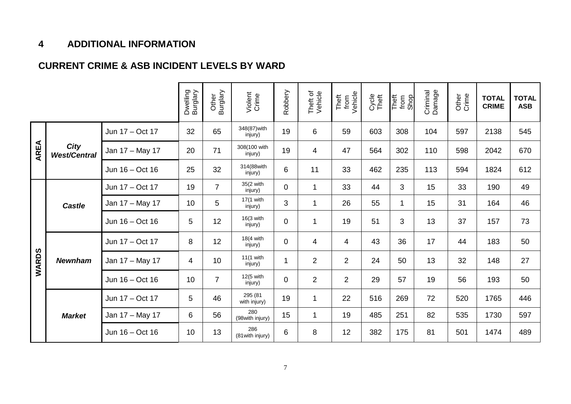#### **4 ADDITIONAL INFORMATION**

#### **CURRENT CRIME & ASB INCIDENT LEVELS BY WARD**

|              |                                    |                 | Dwelling<br>Burglary | Burglary<br>Other | Violent<br>Crime        | Robbery         | Theft of<br>Vehicle | Theft<br>from<br>Vehicle | Cycle<br>Theft | from<br>Shop<br>Theft | Criminal<br>Damage | Other<br>Crime | <b>TOTAL</b><br><b>CRIME</b> | <b>TOTAL</b><br><b>ASB</b> |
|--------------|------------------------------------|-----------------|----------------------|-------------------|-------------------------|-----------------|---------------------|--------------------------|----------------|-----------------------|--------------------|----------------|------------------------------|----------------------------|
| <b>AREA</b>  | <b>City</b><br><b>West/Central</b> | Jun 17 - Oct 17 | 32                   | 65                | 348(87) with<br>injury) | 19              | 6                   | 59                       | 603            | 308                   | 104                | 597            | 2138                         | 545                        |
|              |                                    | Jan 17 - May 17 | 20                   | 71                | 308(100 with<br>injury) | 19              | 4                   | 47                       | 564            | 302                   | 110                | 598            | 2042                         | 670                        |
|              |                                    | Jun 16 - Oct 16 | 25                   | 32                | 314(88with<br>injury)   | $6\phantom{1}6$ | 11                  | 33                       | 462            | 235                   | 113                | 594            | 1824                         | 612                        |
| <b>WARDS</b> | <b>Castle</b>                      | Jun 17 - Oct 17 | 19                   | $\overline{7}$    | 35(2 with<br>injury)    | $\mathbf 0$     | $\mathbf{1}$        | 33                       | 44             | 3                     | 15                 | 33             | 190                          | 49                         |
|              |                                    | Jan 17 - May 17 | 10                   | 5                 | 17(1 with<br>injury)    | 3               | $\mathbf{1}$        | 26                       | 55             | $\mathbf{1}$          | 15                 | 31             | 164                          | 46                         |
|              |                                    | Jun 16 - Oct 16 | 5                    | 12                | 16(3 with<br>injury)    | $\mathbf 0$     | $\mathbf 1$         | 19                       | 51             | 3                     | 13                 | 37             | 157                          | 73                         |
|              | <b>Newnham</b>                     | Jun 17 - Oct 17 | 8                    | 12                | 18(4 with<br>injury)    | $\mathbf 0$     | $\overline{4}$      | $\overline{\mathbf{4}}$  | 43             | 36                    | 17                 | 44             | 183                          | 50                         |
|              |                                    | Jan 17 - May 17 | $\overline{4}$       | 10                | 11(1 with<br>injury)    |                 | $\overline{2}$      | $\overline{2}$           | 24             | 50                    | 13                 | 32             | 148                          | 27                         |
|              |                                    | Jun 16 - Oct 16 | 10                   | $\overline{7}$    | 12(5 with<br>injury)    | $\mathbf 0$     | $\overline{2}$      | $\overline{2}$           | 29             | 57                    | 19                 | 56             | 193                          | 50                         |
|              | <b>Market</b>                      | Jun 17 - Oct 17 | 5                    | 46                | 295 (81<br>with injury) | 19              | $\mathbf{1}$        | 22                       | 516            | 269                   | 72                 | 520            | 1765                         | 446                        |
|              |                                    | Jan 17 - May 17 | 6                    | 56                | 280<br>(98 with injury) | 15              | $\mathbf{1}$        | 19                       | 485            | 251                   | 82                 | 535            | 1730                         | 597                        |
|              |                                    | Jun 16 - Oct 16 | 10                   | 13                | 286<br>(81 with injury) | 6               | 8                   | 12                       | 382            | 175                   | 81                 | 501            | 1474                         | 489                        |